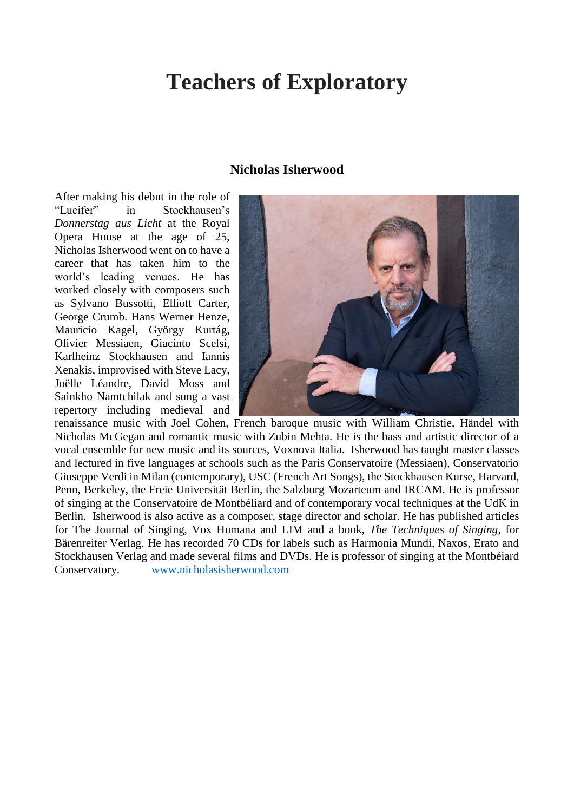# **Teachers of Exploratory**

#### **Nicholas Isherwood**

After making his debut in the role of "Lucifer" in Stockhausen's *Donnerstag aus Licht* at the Royal Opera House at the age of 25, Nicholas Isherwood went on to have a career that has taken him to the world's leading venues. He has worked closely with composers such as Sylvano Bussotti, Elliott Carter, George Crumb. Hans Werner Henze, Mauricio Kagel, György Kurtág, Olivier Messiaen, Giacinto Scelsi, Karlheinz Stockhausen and Iannis Xenakis, improvised with Steve Lacy, Joëlle Léandre, David Moss and Sainkho Namtchilak and sung a vast repertory including medieval and



renaissance music with Joel Cohen, French baroque music with William Christie, Händel with Nicholas McGegan and romantic music with Zubin Mehta. He is the bass and artistic director of a vocal ensemble for new music and its sources, Voxnova Italia. Isherwood has taught master classes and lectured in five languages at schools such as the Paris Conservatoire (Messiaen), Conservatorio Giuseppe Verdi in Milan (contemporary), USC (French Art Songs), the Stockhausen Kurse, Harvard, Penn, Berkeley, the Freie Universität Berlin, the Salzburg Mozarteum and IRCAM. He is professor of singing at the Conservatoire de Montbéliard and of contemporary vocal techniques at the UdK in Berlin. Isherwood is also active as a composer, stage director and scholar. He has published articles for The Journal of Singing, Vox Humana and LIM and a book, *The Techniques of Singing*, for Bärenreiter Verlag. He has recorded 70 CDs for labels such as Harmonia Mundi, Naxos, Erato and Stockhausen Verlag and made several films and DVDs. He is professor of singing at the Montbéiard Conservatory. [www.nicholasisherwood.com](http://www.nicholasisherwood.com/)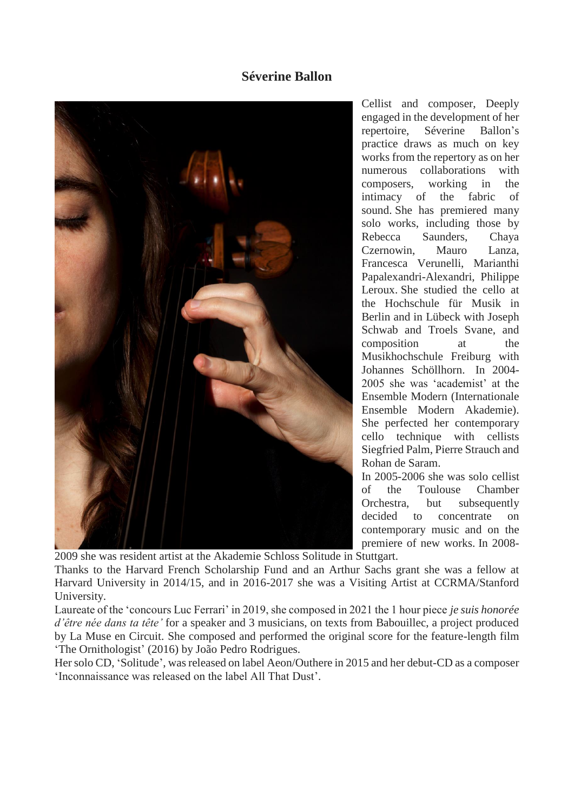## **Séverine Ballon**



Cellist and composer, Deeply engaged in the development of her repertoire, Séverine Ballon's practice draws as much on key works from the repertory as on her numerous collaborations with composers, working in the intimacy of the fabric of sound. She has premiered many solo works, including those by Rebecca Saunders, Chaya Czernowin, Mauro Lanza, Francesca Verunelli, Marianthi Papalexandri-Alexandri, Philippe Leroux. She studied the cello at the Hochschule für Musik in Berlin and in Lübeck with Joseph Schwab and Troels Svane, and composition at the Musikhochschule Freiburg with Johannes Schöllhorn. In 2004- 2005 she was 'academist' at the Ensemble Modern (Internationale Ensemble Modern Akademie). She perfected her contemporary cello technique with cellists Siegfried Palm, Pierre Strauch and Rohan de Saram.

In 2005-2006 she was solo cellist of the Toulouse Chamber Orchestra, but subsequently decided to concentrate on contemporary music and on the premiere of new works. In 2008-

2009 she was resident artist at the Akademie Schloss Solitude in Stuttgart.

Thanks to the Harvard French Scholarship Fund and an Arthur Sachs grant she was a fellow at Harvard University in 2014/15, and in 2016-2017 she was a Visiting Artist at CCRMA/Stanford University.

Laureate of the 'concours Luc Ferrari' in 2019, she composed in 2021 the 1 hour piece *je suis honorée d'être née dans ta tête'* for a speaker and 3 musicians, on texts from Babouillec, a project produced by La Muse en Circuit. She composed and performed the original score for the feature-length film 'The Ornithologist' (2016) by João Pedro Rodrigues.

Her solo CD, 'Solitude', was released on label Aeon/Outhere in 2015 and her debut-CD as a composer 'Inconnaissance was released on the label All That Dust'.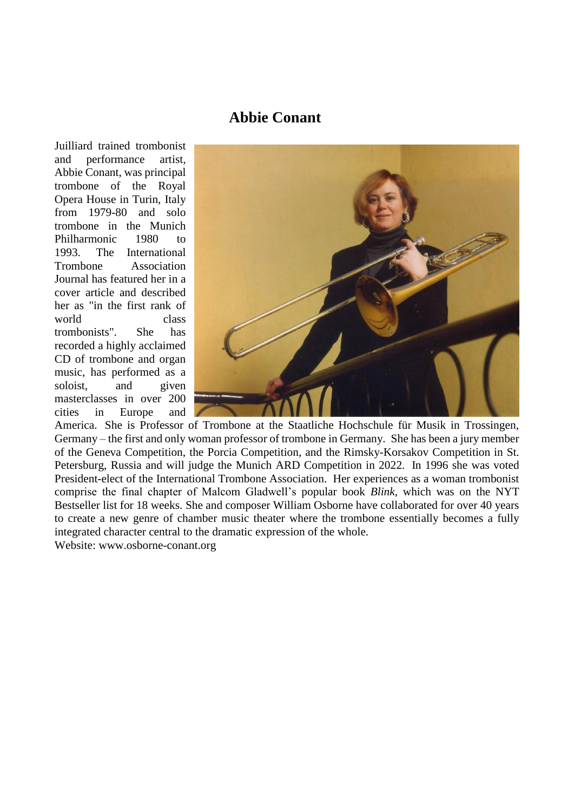# **Abbie Conant**

Juilliard trained trombonist and performance artist, Abbie Conant, was principal trombone of the Royal Opera House in Turin, Italy from 1979-80 and solo trombone in the Munich Philharmonic 1980 to 1993. The International Trombone Association Journal has featured her in a cover article and described her as "in the first rank of world class trombonists". She has recorded a highly acclaimed CD of trombone and organ music, has performed as a soloist, and given masterclasses in over 200 cities in Europe and



America. She is Professor of Trombone at the Staatliche Hochschule für Musik in Trossingen, Germany – the first and only woman professor of trombone in Germany. She has been a jury member of the Geneva Competition, the Porcia Competition, and the Rimsky-Korsakov Competition in St. Petersburg, Russia and will judge the Munich ARD Competition in 2022. In 1996 she was voted President-elect of the International Trombone Association. Her experiences as a woman trombonist comprise the final chapter of Malcom Gladwell's popular book *Blink,* which was on the NYT Bestseller list for 18 weeks. She and composer William Osborne have collaborated for over 40 years to create a new genre of chamber music theater where the trombone essentially becomes a fully integrated character central to the dramatic expression of the whole.

Website: www.osborne-conant.org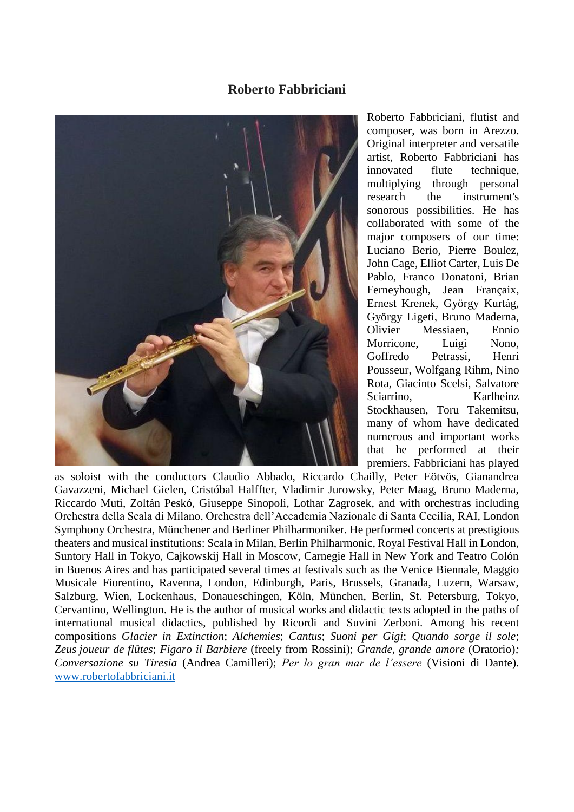## **Roberto Fabbriciani**



Roberto Fabbriciani, flutist and composer, was born in Arezzo. Original interpreter and versatile artist, Roberto Fabbriciani has innovated flute technique, multiplying through personal research the instrument's sonorous possibilities. He has collaborated with some of the major composers of our time: Luciano Berio, Pierre Boulez, John Cage, Elliot Carter, Luis De Pablo, Franco Donatoni, Brian Ferneyhough, Jean Françaix, Ernest Krenek, György Kurtág, György Ligeti, Bruno Maderna, Olivier Messiaen, Ennio Morricone, Luigi Nono, Goffredo Petrassi, Henri Pousseur, Wolfgang Rihm, Nino Rota, Giacinto Scelsi, Salvatore Sciarrino, Karlheinz Stockhausen, Toru Takemitsu, many of whom have dedicated numerous and important works that he performed at their premiers. Fabbriciani has played

as soloist with the conductors Claudio Abbado, Riccardo Chailly, Peter Eötvös, Gianandrea Gavazzeni, Michael Gielen, Cristóbal Halffter, Vladimir Jurowsky, Peter Maag, Bruno Maderna, Riccardo Muti, Zoltán Peskó, Giuseppe Sinopoli, Lothar Zagrosek, and with orchestras including Orchestra della Scala di Milano, Orchestra dell'Accademia Nazionale di Santa Cecilia, RAI, London Symphony Orchestra, Münchener and Berliner Philharmoniker. He performed concerts at prestigious theaters and musical institutions: Scala in Milan, Berlin Philharmonic, Royal Festival Hall in London, Suntory Hall in Tokyo, Cajkowskij Hall in Moscow, Carnegie Hall in New York and Teatro Colón in Buenos Aires and has participated several times at festivals such as the Venice Biennale, Maggio Musicale Fiorentino, Ravenna, London, Edinburgh, Paris, Brussels, Granada, Luzern, Warsaw, Salzburg, Wien, Lockenhaus, Donaueschingen, Köln, München, Berlin, St. Petersburg, Tokyo, Cervantino, Wellington. He is the author of musical works and didactic texts adopted in the paths of international musical didactics, published by Ricordi and Suvini Zerboni. Among his recent compositions *Glacier in Extinction*; *Alchemies*; *Cantus*; *Suoni per Gigi*; *Quando sorge il sole*; *Zeus joueur de flûtes*; *Figaro il Barbiere* (freely from Rossini); *Grande, grande amore* (Oratorio)*; Conversazione su Tiresia* (Andrea Camilleri); *Per lo gran mar de l'essere* (Visioni di Dante). [www.robertofabbriciani.it](http://www.robertofabbriciani.it/)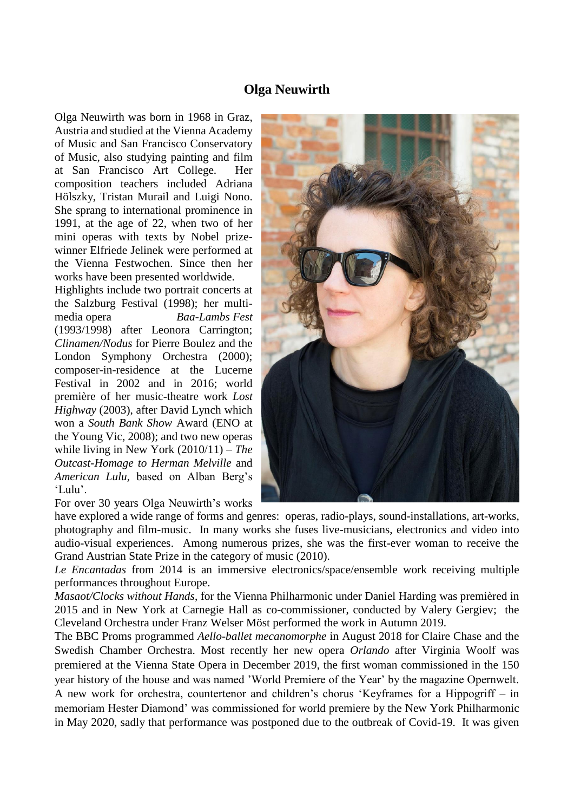### **Olga Neuwirth**

Olga Neuwirth was born in 1968 in Graz, Austria and studied at the Vienna Academy of Music and San Francisco Conservatory of Music, also studying painting and film at San Francisco Art College. Her composition teachers included Adriana Hölszky, Tristan Murail and Luigi Nono. She sprang to international prominence in 1991, at the age of 22, when two of her mini operas with texts by Nobel prizewinner Elfriede Jelinek were performed at the Vienna Festwochen. Since then her works have been presented worldwide.

Highlights include two portrait concerts at the Salzburg Festival (1998); her multimedia opera *Baa-Lambs Fest* (1993/1998) after Leonora Carrington; *Clinamen/Nodus* for Pierre Boulez and the London Symphony Orchestra (2000); composer-in-residence at the Lucerne Festival in 2002 and in 2016; world première of her music-theatre work *Lost Highway* (2003), after David Lynch which won a *South Bank Show* Award (ENO at the Young Vic, 2008); and two new operas while living in New York (2010/11) – *The Outcast-Homage to Herman Melville* and *American Lulu,* based on Alban Berg's 'Lulu'.

For over 30 years Olga Neuwirth's works



have explored a wide range of forms and genres: operas, radio-plays, sound-installations, art-works, photography and film-music. In many works she fuses live-musicians, electronics and video into audio-visual experiences. Among numerous prizes, she was the first-ever woman to receive the Grand Austrian State Prize in the category of music (2010).

*Le Encantadas* from 2014 is an immersive electronics/space/ensemble work receiving multiple performances throughout Europe.

*Masaot/Clocks without Hands*, for the Vienna Philharmonic under Daniel Harding was premièred in 2015 and in New York at Carnegie Hall as co-commissioner, conducted by Valery Gergiev; the Cleveland Orchestra under Franz Welser Möst performed the work in Autumn 2019.

The BBC Proms programmed *Aello-ballet mecanomorphe* in August 2018 for Claire Chase and the Swedish Chamber Orchestra. Most recently her new opera *Orlando* after Virginia Woolf was premiered at the Vienna State Opera in December 2019, the first woman commissioned in the 150 year history of the house and was named 'World Premiere of the Year' by the magazine Opernwelt. A new work for orchestra, countertenor and children's chorus 'Keyframes for a Hippogriff – in memoriam Hester Diamond' was commissioned for world premiere by the New York Philharmonic in May 2020, sadly that performance was postponed due to the outbreak of Covid-19. It was given